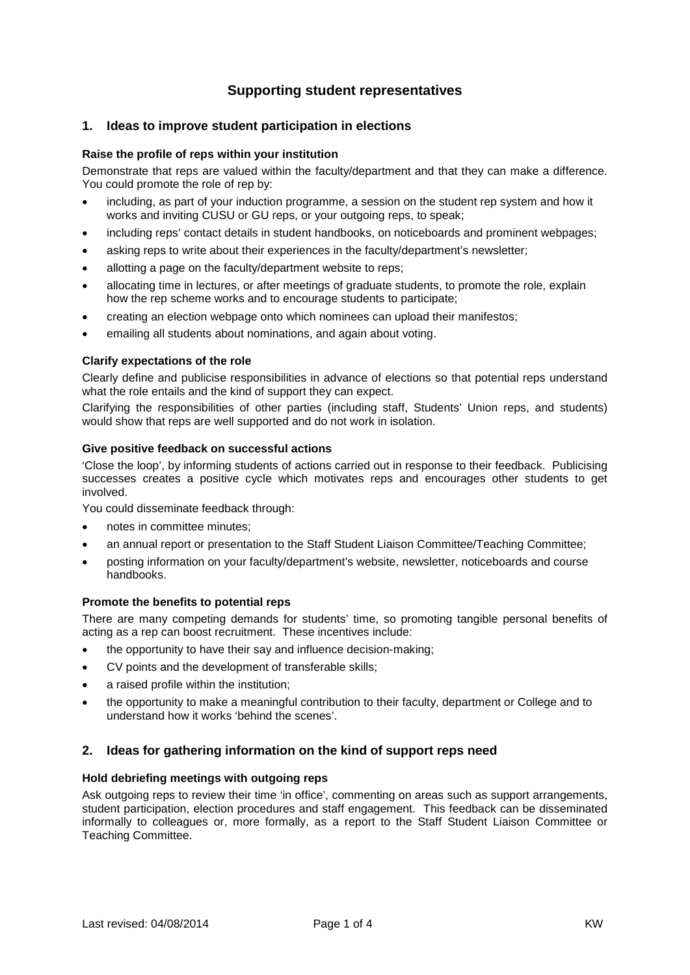# **Supporting student representatives**

# **1. Ideas to improve student participation in elections**

#### **Raise the profile of reps within your institution**

Demonstrate that reps are valued within the faculty/department and that they can make a difference. You could promote the role of rep by:

- including, as part of your induction programme, a session on the student rep system and how it works and inviting CUSU or GU reps, or your outgoing reps, to speak;
- including reps' contact details in student handbooks, on noticeboards and prominent webpages;
- asking reps to write about their experiences in the faculty/department's newsletter;
- allotting a page on the faculty/department website to reps;
- allocating time in lectures, or after meetings of graduate students, to promote the role, explain how the rep scheme works and to encourage students to participate;
- creating an election webpage onto which nominees can upload their manifestos;
- emailing all students about nominations, and again about voting.

#### **Clarify expectations of the role**

Clearly define and publicise responsibilities in advance of elections so that potential reps understand what the role entails and the kind of support they can expect.

Clarifying the responsibilities of other parties (including staff, Students' Union reps, and students) would show that reps are well supported and do not work in isolation.

#### **Give positive feedback on successful actions**

'Close the loop', by informing students of actions carried out in response to their feedback. Publicising successes creates a positive cycle which motivates reps and encourages other students to get involved.

You could disseminate feedback through:

- notes in committee minutes;
- an annual report or presentation to the Staff Student Liaison Committee/Teaching Committee;
- posting information on your faculty/department's website, newsletter, noticeboards and course handbooks.

#### **Promote the benefits to potential reps**

There are many competing demands for students' time, so promoting tangible personal benefits of acting as a rep can boost recruitment. These incentives include:

- the opportunity to have their say and influence decision-making;
- CV points and the development of transferable skills;
- a raised profile within the institution:
- the opportunity to make a meaningful contribution to their faculty, department or College and to understand how it works 'behind the scenes'.

# **2. Ideas for gathering information on the kind of support reps need**

### **Hold debriefing meetings with outgoing reps**

Ask outgoing reps to review their time 'in office', commenting on areas such as support arrangements, student participation, election procedures and staff engagement. This feedback can be disseminated informally to colleagues or, more formally, as a report to the Staff Student Liaison Committee or Teaching Committee.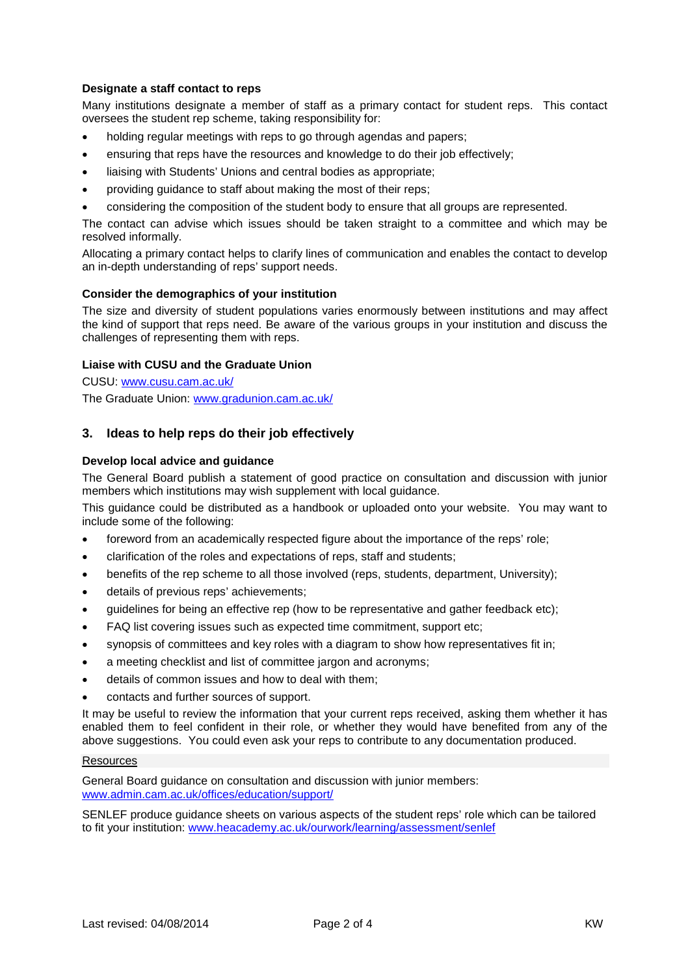### **Designate a staff contact to reps**

Many institutions designate a member of staff as a primary contact for student reps. This contact oversees the student rep scheme, taking responsibility for:

- holding regular meetings with reps to go through agendas and papers;
- ensuring that reps have the resources and knowledge to do their job effectively;
- liaising with Students' Unions and central bodies as appropriate;
- providing guidance to staff about making the most of their reps;
- considering the composition of the student body to ensure that all groups are represented.

The contact can advise which issues should be taken straight to a committee and which may be resolved informally.

Allocating a primary contact helps to clarify lines of communication and enables the contact to develop an in-depth understanding of reps' support needs.

#### **Consider the demographics of your institution**

The size and diversity of student populations varies enormously between institutions and may affect the kind of support that reps need. Be aware of the various groups in your institution and discuss the challenges of representing them with reps.

## **Liaise with CUSU and the Graduate Union**

CUSU: [www.cusu.cam.ac.uk/](http://www.cusu.cam.ac.uk/) The Graduate Union: [www.gradunion.cam.ac.uk/](http://www.gradunion.cam.ac.uk/)

# **3. Ideas to help reps do their job effectively**

#### **Develop local advice and guidance**

The General Board publish a statement of good practice on consultation and discussion with junior members which institutions may wish supplement with local guidance.

This guidance could be distributed as a handbook or uploaded onto your website. You may want to include some of the following:

- foreword from an academically respected figure about the importance of the reps' role;
- clarification of the roles and expectations of reps, staff and students;
- benefits of the rep scheme to all those involved (reps, students, department, University);
- details of previous reps' achievements;
- guidelines for being an effective rep (how to be representative and gather feedback etc);
- FAQ list covering issues such as expected time commitment, support etc;
- synopsis of committees and key roles with a diagram to show how representatives fit in;
- a meeting checklist and list of committee jargon and acronyms;
- details of common issues and how to deal with them;
- contacts and further sources of support.

It may be useful to review the information that your current reps received, asking them whether it has enabled them to feel confident in their role, or whether they would have benefited from any of the above suggestions. You could even ask your reps to contribute to any documentation produced.

#### Resources

General Board guidance on consultation and discussion with junior members: [www.admin.cam.ac.uk/offices/education/support/](http://www.admin.cam.ac.uk/offices/education/support/)

SENLEF produce guidance sheets on various aspects of the student reps' role which can be tailored to fit your institution: [www.heacademy.ac.uk/ourwork/learning/assessment/senlef](http://www.heacademy.ac.uk/ourwork/learning/assessment/senlef)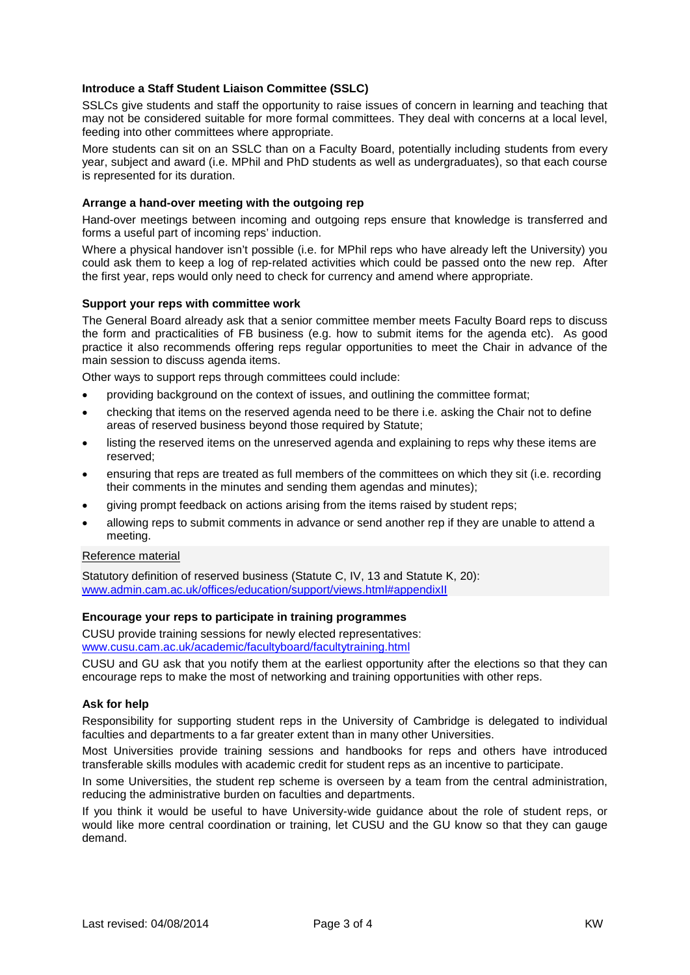### **Introduce a Staff Student Liaison Committee (SSLC)**

SSLCs give students and staff the opportunity to raise issues of concern in learning and teaching that may not be considered suitable for more formal committees. They deal with concerns at a local level, feeding into other committees where appropriate.

More students can sit on an SSLC than on a Faculty Board, potentially including students from every year, subject and award (i.e. MPhil and PhD students as well as undergraduates), so that each course is represented for its duration.

#### **Arrange a hand-over meeting with the outgoing rep**

Hand-over meetings between incoming and outgoing reps ensure that knowledge is transferred and forms a useful part of incoming reps' induction.

Where a physical handover isn't possible (i.e. for MPhil reps who have already left the University) you could ask them to keep a log of rep-related activities which could be passed onto the new rep. After the first year, reps would only need to check for currency and amend where appropriate.

#### **Support your reps with committee work**

The General Board already ask that a senior committee member meets Faculty Board reps to discuss the form and practicalities of FB business (e.g. how to submit items for the agenda etc). As good practice it also recommends offering reps regular opportunities to meet the Chair in advance of the main session to discuss agenda items.

Other ways to support reps through committees could include:

- providing background on the context of issues, and outlining the committee format;
- checking that items on the reserved agenda need to be there i.e. asking the Chair not to define areas of reserved business beyond those required by Statute;
- listing the reserved items on the unreserved agenda and explaining to reps why these items are reserved;
- ensuring that reps are treated as full members of the committees on which they sit (i.e. recording their comments in the minutes and sending them agendas and minutes);
- giving prompt feedback on actions arising from the items raised by student reps;
- allowing reps to submit comments in advance or send another rep if they are unable to attend a meeting.

#### Reference material

Statutory definition of reserved business (Statute C, IV, 13 and Statute K, 20): [www.admin.cam.ac.uk/offices/education/support/views.html#appendixII](http://www.admin.cam.ac.uk/offices/education/support/views.html#appendixII)

#### **Encourage your reps to participate in training programmes**

CUSU provide training sessions for newly elected representatives: [www.cusu.cam.ac.uk/academic/facultyboard/facultytraining.html](http://www.cusu.cam.ac.uk/academic/facultyboard/facultytraining.html)

CUSU and GU ask that you notify them at the earliest opportunity after the elections so that they can encourage reps to make the most of networking and training opportunities with other reps.

#### **Ask for help**

Responsibility for supporting student reps in the University of Cambridge is delegated to individual faculties and departments to a far greater extent than in many other Universities.

Most Universities provide training sessions and handbooks for reps and others have introduced transferable skills modules with academic credit for student reps as an incentive to participate.

In some Universities, the student rep scheme is overseen by a team from the central administration, reducing the administrative burden on faculties and departments.

If you think it would be useful to have University-wide guidance about the role of student reps, or would like more central coordination or training, let CUSU and the GU know so that they can gauge demand.